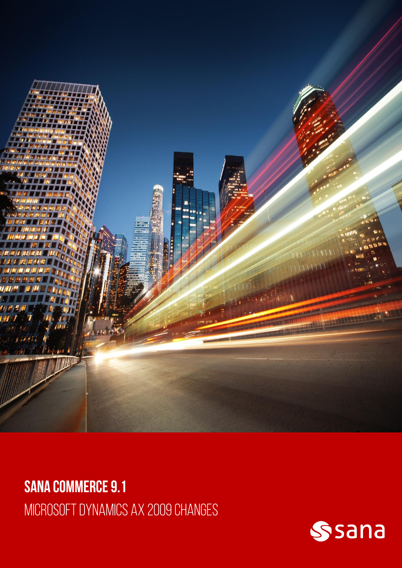

**SANA COMMERCE 9.1** MICROSOFT DYNAMICS AX 2009 CHANGES

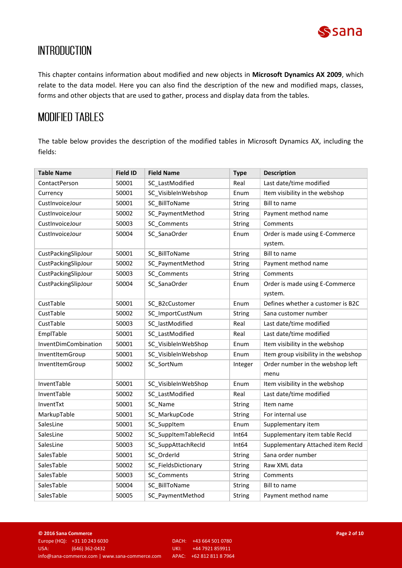

# **INTRODUCTION**

This chapter contains information about modified and new objects in **Microsoft Dynamics AX 2009**, which relate to the data model. Here you can also find the description of the new and modified maps, classes, forms and other objects that are used to gather, process and display data from the tables.

### **MODIFIED TABLES**

The table below provides the description of the modified tables in Microsoft Dynamics AX, including the fields:

| <b>Table Name</b>    | <b>Field ID</b> | <b>Field Name</b>                 | <b>Type</b>       | <b>Description</b>                   |
|----------------------|-----------------|-----------------------------------|-------------------|--------------------------------------|
| ContactPerson        | 50001           | SC_LastModified                   | Real              | Last date/time modified              |
| Currency             | 50001           | SC VisibleInWebshop               | Enum              | Item visibility in the webshop       |
| CustInvoiceJour      | 50001           | SC BillToName                     | String            | <b>Bill to name</b>                  |
| CustInvoiceJour      | 50002           | SC_PaymentMethod                  | <b>String</b>     | Payment method name                  |
| CustInvoiceJour      | 50003           | SC Comments                       | <b>String</b>     | Comments                             |
| CustInvoiceJour      | 50004           | SC SanaOrder                      | Enum              | Order is made using E-Commerce       |
|                      |                 |                                   |                   | system.                              |
| CustPackingSlipJour  | 50001           | SC BillToName                     | String            | <b>Bill to name</b>                  |
| CustPackingSlipJour  | 50002           | SC PaymentMethod                  | <b>String</b>     | Payment method name                  |
| CustPackingSlipJour  | 50003           | SC_Comments                       | String            | Comments                             |
| CustPackingSlipJour  | 50004           | SC_SanaOrder                      | Enum              | Order is made using E-Commerce       |
|                      |                 |                                   |                   | system.                              |
| CustTable            | 50001           | SC B2cCustomer                    | Enum              | Defines whether a customer is B2C    |
| CustTable            | 50002           | SC_ImportCustNum                  | <b>String</b>     | Sana customer number                 |
| CustTable            | 50003           | SC lastModified                   | Real              | Last date/time modified              |
| EmplTable            | 50001           | SC LastModified                   | Real              | Last date/time modified              |
| InventDimCombination | 50001           | SC VisibleInWebShop               | Enum              | Item visibility in the webshop       |
| InventItemGroup      | 50001           | SC VisibleInWebshop               | Enum              | Item group visibility in the webshop |
| InventItemGroup      | 50002           | SC_SortNum                        | Integer           | Order number in the webshop left     |
|                      |                 |                                   |                   | menu                                 |
| InventTable          | 50001           | SC VisibleInWebShop               | Enum              | Item visibility in the webshop       |
| InventTable          | 50002           | SC_LastModified                   | Real              | Last date/time modified              |
| InventTxt            | 50001           | SC Name                           | <b>String</b>     | Item name                            |
| MarkupTable          | 50001           | SC MarkupCode                     | <b>String</b>     | For internal use                     |
| SalesLine            | 50001           | SC_SuppItem                       | Enum              | Supplementary item                   |
| SalesLine            | 50002           | SC_SuppItemTableRecid             | Int <sub>64</sub> | Supplementary item table RecId       |
| SalesLine            | 50003           | SC_SuppAttachRecId                | Int64             | Supplementary Attached item RecId    |
| SalesTable           | 50001           | SC OrderId                        | <b>String</b>     | Sana order number                    |
| SalesTable           | 50002           | SC_FieldsDictionary               | String            | Raw XML data                         |
| SalesTable           | 50003           | SC Comments                       | <b>String</b>     | Comments                             |
| SalesTable           | 50004           | SC BillToName                     | <b>String</b>     | Bill to name                         |
| SalesTable           | 50005           | SC_PaymentMethod<br><b>String</b> |                   | Payment method name                  |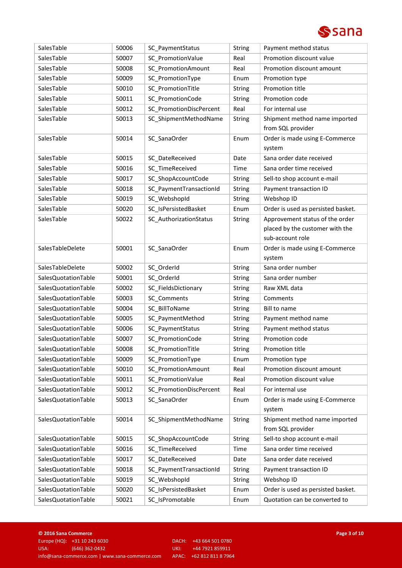

| SalesTable          | 50006 | SC PaymentStatus          | <b>String</b> | Payment method status              |
|---------------------|-------|---------------------------|---------------|------------------------------------|
| SalesTable          | 50007 | SC_PromotionValue         | Real          | Promotion discount value           |
| SalesTable          | 50008 | <b>SC PromotionAmount</b> | Real          | Promotion discount amount          |
| SalesTable          | 50009 | SC_PromotionType          | Enum          | Promotion type                     |
| SalesTable          | 50010 | SC PromotionTitle         | String        | Promotion title                    |
| SalesTable          | 50011 | SC_PromotionCode          | String        | Promotion code                     |
| SalesTable          | 50012 | SC PromotionDiscPercent   | Real          | For internal use                   |
| SalesTable          | 50013 | SC_ShipmentMethodName     | String        | Shipment method name imported      |
|                     |       |                           |               | from SQL provider                  |
| SalesTable          | 50014 | SC_SanaOrder              | Enum          | Order is made using E-Commerce     |
|                     |       |                           |               | system                             |
| SalesTable          | 50015 | SC_DateReceived           | Date          | Sana order date received           |
| SalesTable          | 50016 | SC_TimeReceived           | Time          | Sana order time received           |
| SalesTable          | 50017 | SC_ShopAccountCode        | String        | Sell-to shop account e-mail        |
| SalesTable          | 50018 | SC_PaymentTransactionId   | String        | Payment transaction ID             |
| SalesTable          | 50019 | SC_WebshopId              | String        | Webshop ID                         |
| SalesTable          | 50020 | SC_IsPersistedBasket      | Enum          | Order is used as persisted basket. |
| SalesTable          | 50022 | SC_AuthorizationStatus    | String        | Approvement status of the order    |
|                     |       |                           |               | placed by the customer with the    |
|                     |       |                           |               | sub-account role                   |
| SalesTableDelete    | 50001 | SC_SanaOrder              | Enum          | Order is made using E-Commerce     |
|                     |       |                           |               | system                             |
| SalesTableDelete    | 50002 | SC_OrderId                | String        | Sana order number                  |
| SalesQuotationTable | 50001 | SC_OrderId                | String        | Sana order number                  |
| SalesQuotationTable | 50002 | SC_FieldsDictionary       | String        | Raw XML data                       |
| SalesQuotationTable | 50003 | SC Comments               | String        | Comments                           |
| SalesQuotationTable | 50004 | SC BillToName             | String        | <b>Bill to name</b>                |
| SalesQuotationTable | 50005 | SC_PaymentMethod          | String        | Payment method name                |
| SalesQuotationTable | 50006 | SC_PaymentStatus          | String        | Payment method status              |
| SalesQuotationTable | 50007 | SC PromotionCode          | String        | Promotion code                     |
| SalesQuotationTable | 50008 | SC_PromotionTitle         | String        | Promotion title                    |
| SalesQuotationTable | 50009 | SC_PromotionType          | Enum          | Promotion type                     |
| SalesQuotationTable | 50010 | SC_PromotionAmount        | Real          | Promotion discount amount          |
| SalesQuotationTable | 50011 | SC_PromotionValue         | Real          | Promotion discount value           |
| SalesQuotationTable | 50012 | SC_PromotionDiscPercent   | Real          | For internal use                   |
| SalesQuotationTable | 50013 | SC SanaOrder              | Enum          | Order is made using E-Commerce     |
|                     |       |                           |               | system                             |
| SalesQuotationTable | 50014 | SC_ShipmentMethodName     | String        | Shipment method name imported      |
|                     |       |                           |               | from SQL provider                  |
| SalesQuotationTable | 50015 | SC_ShopAccountCode        | String        | Sell-to shop account e-mail        |
| SalesQuotationTable | 50016 | SC TimeReceived           | Time          | Sana order time received           |
| SalesQuotationTable | 50017 | SC_DateReceived           | Date          | Sana order date received           |
| SalesQuotationTable | 50018 | SC_PaymentTransactionId   | String        | Payment transaction ID             |
| SalesQuotationTable | 50019 | SC_WebshopId              | <b>String</b> | Webshop ID                         |
| SalesQuotationTable | 50020 | SC IsPersistedBasket      | Enum          | Order is used as persisted basket. |
| SalesQuotationTable | 50021 | SC_IsPromotable           | Enum          | Quotation can be converted to      |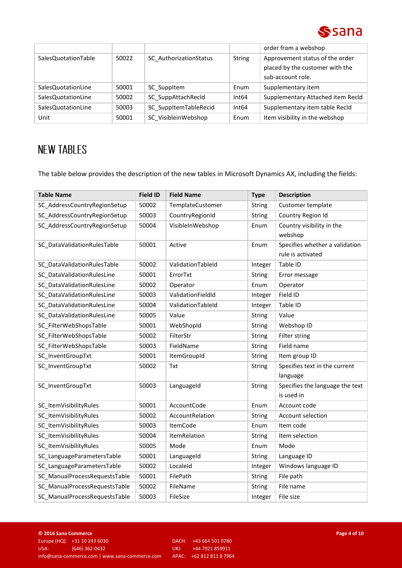

|                     |       |                        |               | order from a webshop                                                                    |
|---------------------|-------|------------------------|---------------|-----------------------------------------------------------------------------------------|
| SalesQuotationTable | 50022 | SC AuthorizationStatus | <b>String</b> | Approvement status of the order<br>placed by the customer with the<br>sub-account role. |
| SalesQuotationLine  | 50001 | SC Suppltem            | Enum          | Supplementary item                                                                      |
| SalesQuotationLine  | 50002 | SC SuppAttachRecId     | Int64         | Supplementary Attached item RecId                                                       |
| SalesQuotationLine  | 50003 | SC SuppItemTableRecid  | Int64         | Supplementary item table RecId                                                          |
| Unit                | 50001 | SC VisibleinWebshop    | Enum          | Item visibility in the webshop                                                          |

# **NEW TABLES**

The table below provides the description of the new tables in Microsoft Dynamics AX, including the fields:

| <b>Table Name</b>             | <b>Field ID</b> | <b>Field Name</b>   | <b>Type</b>   | <b>Description</b>              |
|-------------------------------|-----------------|---------------------|---------------|---------------------------------|
| SC_AddressCountryRegionSetup  | 50002           | TemplateCustomer    | String        | Customer template               |
| SC AddressCountryRegionSetup  | 50003           | CountryRegionId     | String        | Country Region Id               |
| SC_AddressCountryRegionSetup  | 50004           | VisibleInWebshop    | Enum          | Country visibility in the       |
|                               |                 |                     |               | webshop                         |
| SC_DataValidationRulesTable   | 50001           | Active              | Enum          | Specifies whether a validation  |
|                               |                 |                     |               | rule is activated               |
| SC_DataValidationRulesTable   | 50002           | ValidationTableId   | Integer       | Table ID                        |
| SC DataValidationRulesLine    | 50001           | ErrorTxt            | String        | Error message                   |
| SC DataValidationRulesLine    | 50002           | Operator            | Enum          | Operator                        |
| SC DataValidationRulesLine    | 50003           | ValidationFieldId   | Integer       | Field ID                        |
| SC DataValidationRulesLine    | 50004           | ValidationTableId   | Integer       | Table ID                        |
| SC DataValidationRulesLine    | 50005           | Value               | <b>String</b> | Value                           |
| SC_FilterWebShopsTable        | 50001           | WebShopId           | String        | Webshop ID                      |
| SC FilterWebShopsTable        | 50002           | FilterStr           | <b>String</b> | Filter string                   |
| SC FilterWebShopsTable        | 50003           | FieldName           | <b>String</b> | Field name                      |
| SC InventGroupTxt             | 50001           | <b>ItemGroupId</b>  | <b>String</b> | Item group ID                   |
| SC InventGroupTxt             | 50002           | <b>Txt</b>          | <b>String</b> | Specifies text in the current   |
|                               |                 |                     |               | language                        |
| SC_InventGroupTxt             | 50003           | Languageld          | String        | Specifies the language the text |
|                               |                 |                     |               | is used in                      |
| SC_ItemVisibilityRules        | 50001           | AccountCode         | Enum          | Account code                    |
| SC ItemVisibilityRules        | 50002           | AccountRelation     | <b>String</b> | Account selection               |
| SC ItemVisibilityRules        | 50003           | <b>ItemCode</b>     | Enum          | Item code                       |
| SC ItemVisibilityRules        | 50004           | <b>ItemRelation</b> | <b>String</b> | Item selection                  |
| SC ItemVisibilityRules        | 50005           | Mode                | Enum          | Mode                            |
| SC_LanguageParametersTable    | 50001           | LanguageId          | <b>String</b> | Language ID                     |
| SC_LanguageParametersTable    | 50002           | LocaleId            | Integer       | Windows language ID             |
| SC ManualProcessRequestsTable | 50001           | FilePath            | <b>String</b> | File path                       |
| SC ManualProcessRequestsTable | 50002           | FileName            | <b>String</b> | File name                       |
| SC_ManualProcessRequestsTable | 50003           | FileSize            | Integer       | File size                       |

UKI: +44 7921 859911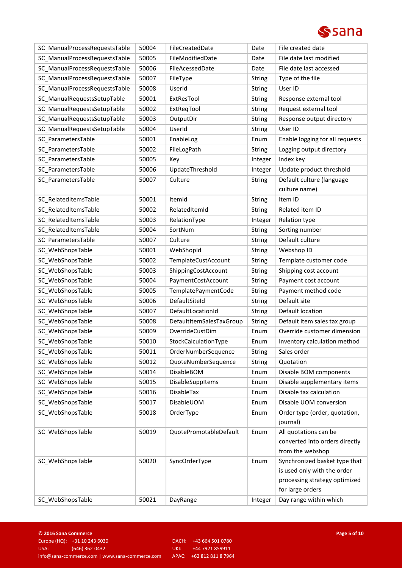

| SC_ManualProcessRequestsTable | 50004 | FileCreatedDate          | Date          | File created date               |
|-------------------------------|-------|--------------------------|---------------|---------------------------------|
| SC_ManualProcessRequestsTable | 50005 | FileModifiedDate         | Date          | File date last modified         |
| SC_ManualProcessRequestsTable | 50006 | FileAcessedDate          | Date          | File date last accessed         |
| SC ManualProcessRequestsTable | 50007 | FileType                 | String        | Type of the file                |
| SC_ManualProcessRequestsTable | 50008 | UserId                   | String        | User ID                         |
| SC_ManualRequestsSetupTable   | 50001 | ExtResTool               | String        | Response external tool          |
| SC_ManualRequestsSetupTable   | 50002 | ExtReqTool               | String        | Request external tool           |
| SC_ManualRequestsSetupTable   | 50003 | OutputDir                | String        | Response output directory       |
| SC ManualRequestsSetupTable   | 50004 | UserId                   | String        | User ID                         |
| SC ParametersTable            | 50001 | EnableLog                | Enum          | Enable logging for all requests |
| SC_ParametersTable            | 50002 | FileLogPath              | String        | Logging output directory        |
| SC_ParametersTable            | 50005 | Key                      | Integer       | Index key                       |
| SC_ParametersTable            | 50006 | UpdateThreshold          | Integer       | Update product threshold        |
| SC_ParametersTable            | 50007 | Culture                  | <b>String</b> | Default culture (language       |
|                               |       |                          |               | culture name)                   |
| SC_RelatedItemsTable          | 50001 | ItemId                   | <b>String</b> | Item ID                         |
| SC RelatedItemsTable          | 50002 | RelatedItemId            | <b>String</b> | Related item ID                 |
| SC RelatedItemsTable          | 50003 | RelationType             | Integer       | Relation type                   |
| SC_RelatedItemsTable          | 50004 | SortNum                  | <b>String</b> | Sorting number                  |
| SC_ParametersTable            | 50007 | Culture                  | <b>String</b> | Default culture                 |
| SC_WebShopsTable              | 50001 | WebShopId                | String        | Webshop ID                      |
| SC_WebShopsTable              | 50002 | TemplateCustAccount      | String        | Template customer code          |
| SC_WebShopsTable              | 50003 | ShippingCostAccount      | String        | Shipping cost account           |
| SC_WebShopsTable              | 50004 | PaymentCostAccount       | <b>String</b> | Payment cost account            |
| SC_WebShopsTable              | 50005 | TemplatePaymentCode      | String        | Payment method code             |
| SC_WebShopsTable              | 50006 | DefaultSiteId            | String        | Default site                    |
| SC_WebShopsTable              | 50007 | DefaultLocationId        | <b>String</b> | Default location                |
| SC_WebShopsTable              | 50008 | DefaultItemSalesTaxGroup | <b>String</b> | Default item sales tax group    |
| SC_WebShopsTable              | 50009 | OverrideCustDim          | Enum          | Override customer dimension     |
| SC_WebShopsTable              | 50010 | StockCalculationType     | Enum          | Inventory calculation method    |
| SC_WebShopsTable              | 50011 | OrderNumberSequence      | <b>String</b> | Sales order                     |
| SC WebShopsTable              | 50012 | QuoteNumberSequence      | <b>String</b> | Quotation                       |
| SC WebShopsTable              | 50014 | <b>DisableBOM</b>        | Enum          | Disable BOM components          |
| SC WebShopsTable              | 50015 | DisableSuppItems         | Enum          | Disable supplementary items     |
| SC WebShopsTable              | 50016 | DisableTax               | Enum          | Disable tax calculation         |
| SC WebShopsTable              | 50017 | DisableUOM               | Enum          | Disable UOM conversion          |
| SC_WebShopsTable              | 50018 | OrderType                | Enum          | Order type (order, quotation,   |
|                               |       |                          |               | journal)                        |
| SC_WebShopsTable              | 50019 | QuotePromotableDefault   | Enum          | All quotations can be           |
|                               |       |                          |               | converted into orders directly  |
|                               |       |                          |               | from the webshop                |
| SC_WebShopsTable              | 50020 | SyncOrderType            | Enum          | Synchronized basket type that   |
|                               |       |                          |               | is used only with the order     |
|                               |       |                          |               | processing strategy optimized   |
|                               |       |                          |               | for large orders                |
| SC_WebShopsTable              | 50021 | DayRange                 | Integer       | Day range within which          |

UKI: +44 7921 859911<br>APAC: +62 812 811 8 7964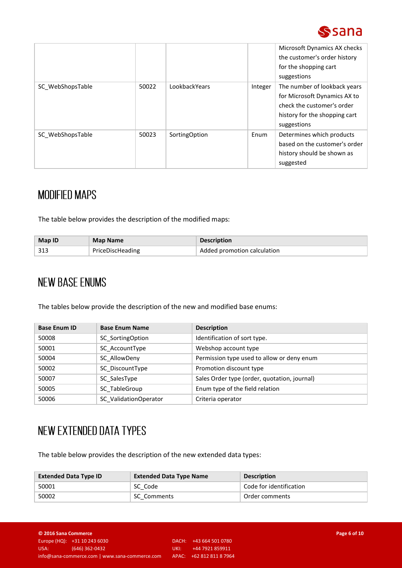

|                  |       |               |         | Microsoft Dynamics AX checks<br>the customer's order history<br>for the shopping cart<br>suggestions                                       |
|------------------|-------|---------------|---------|--------------------------------------------------------------------------------------------------------------------------------------------|
| SC WebShopsTable | 50022 | LookbackYears | Integer | The number of lookback years<br>for Microsoft Dynamics AX to<br>check the customer's order<br>history for the shopping cart<br>suggestions |
| SC WebShopsTable | 50023 | SortingOption | Enum    | Determines which products<br>based on the customer's order<br>history should be shown as<br>suggested                                      |

## **MODIFIED MAPS**

The table below provides the description of the modified maps:

| Map ID | <b>Map Name</b>  | <b>Description</b>          |
|--------|------------------|-----------------------------|
| 21.3   | PriceDiscHeading | Added promotion calculation |

## **NEW BASE ENUMS**

The tables below provide the description of the new and modified base enums:

| <b>Base Enum ID</b> | <b>Base Enum Name</b> | <b>Description</b>                           |
|---------------------|-----------------------|----------------------------------------------|
| 50008               | SC SortingOption      | Identification of sort type.                 |
| 50001               | SC AccountType        | Webshop account type                         |
| 50004               | SC AllowDeny          | Permission type used to allow or deny enum   |
| 50002               | SC DiscountType       | Promotion discount type                      |
| 50007               | SC SalesType          | Sales Order type (order, quotation, journal) |
| 50005               | SC TableGroup         | Enum type of the field relation              |
| 50006               | SC ValidationOperator | Criteria operator                            |

# NEW EXTENDED DATA TYPES

The table below provides the description of the new extended data types:

| <b>Extended Data Type ID</b> | <b>Extended Data Type Name</b> | <b>Description</b>      |
|------------------------------|--------------------------------|-------------------------|
| 50001                        | SC Code                        | Code for identification |
| 50002                        | SC Comments                    | Order comments          |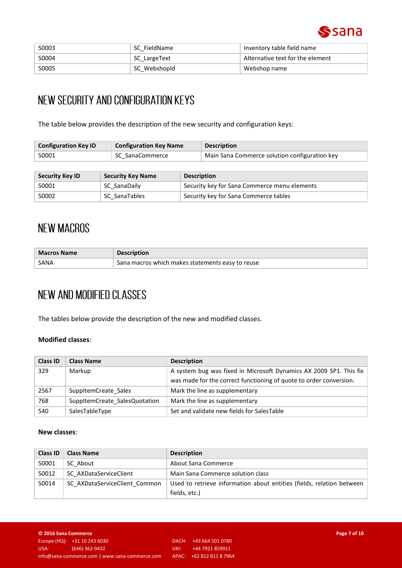

| 50003 | SC FieldName | Inventory table field name       |
|-------|--------------|----------------------------------|
| 50004 | SC LargeText | Alternative text for the element |
| 50005 | SC WebshopId | Webshop name                     |

## NEW SECURITY AND CONFIGURATION KEYS

The table below provides the description of the new security and configuration keys:

| <b>Configuration Key ID</b> | <b>Configuration Key Name</b> | <b>Description</b>                            |
|-----------------------------|-------------------------------|-----------------------------------------------|
| 50001                       | SC SanaCommerce               | Main Sana Commerce solution configuration key |

| Security Key ID | <b>Security Key Name</b> | <b>Description</b>                           |
|-----------------|--------------------------|----------------------------------------------|
| 50001           | SC SanaDaily             | Security key for Sana Commerce menu elements |
| 50002           | SC SanaTables            | Security key for Sana Commerce tables        |

## **NEW MACROS**

| <b>Macros Name</b> | <b>Description</b>                               |
|--------------------|--------------------------------------------------|
| SANA               | Sana macros which makes statements easy to reuse |

# NEW AND MODIFIED CLASSES

The tables below provide the description of the new and modified classes.

### **Modified classes**:

| <b>Class ID</b> | <b>Class Name</b>             | <b>Description</b>                                                 |
|-----------------|-------------------------------|--------------------------------------------------------------------|
| 329             | Markup                        | A system bug was fixed in Microsoft Dynamics AX 2009 SP1. This fix |
|                 |                               | was made for the correct functioning of quote to order conversion. |
| 2567            | SuppltemCreate Sales          | Mark the line as supplementary                                     |
| 768             | SuppltemCreate SalesQuotation | Mark the line as supplementary                                     |
| 540             | SalesTableType                | Set and validate new fields for SalesTable                         |

#### **New classes**:

| <b>Class ID</b> | <b>Class Name</b>             | <b>Description</b>                                                    |
|-----------------|-------------------------------|-----------------------------------------------------------------------|
| 50001           | SC About                      | About Sana Commerce                                                   |
| 50012           | SC AXDataServiceClient        | Main Sana Commerce solution class                                     |
| 50014           | SC AXDataServiceClient Common | Used to retrieve information about entities (fields, relation between |
|                 |                               | fields, etc.)                                                         |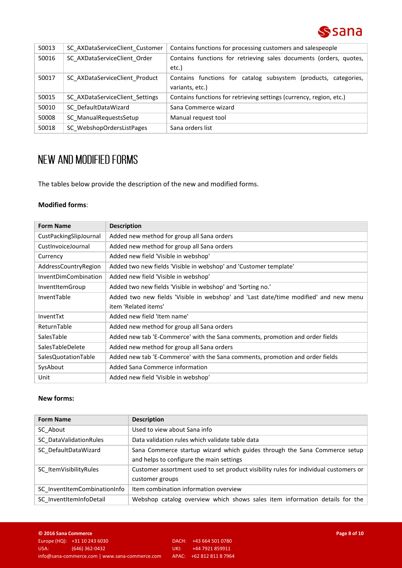

| 50013 | SC AXDataServiceClient Customer | Contains functions for processing customers and salespeople                        |
|-------|---------------------------------|------------------------------------------------------------------------------------|
| 50016 | SC AXDataServiceClient Order    | Contains functions for retrieving sales documents (orders, quotes,<br>etc.)        |
| 50017 | SC AXDataServiceClient Product  | Contains functions for catalog subsystem (products, categories,<br>variants, etc.) |
| 50015 | SC AXDataServiceClient Settings | Contains functions for retrieving settings (currency, region, etc.)                |
| 50010 | SC DefaultDataWizard            | Sana Commerce wizard                                                               |
| 50008 | SC ManualRequestsSetup          | Manual request tool                                                                |
| 50018 | SC WebshopOrdersListPages       | Sana orders list                                                                   |

# NEW AND MODIFIED FORMS

The tables below provide the description of the new and modified forms.

### **Modified forms**:

| <b>Form Name</b>            | <b>Description</b>                                                                   |
|-----------------------------|--------------------------------------------------------------------------------------|
| CustPackingSlipJournal      | Added new method for group all Sana orders                                           |
| CustInvoiceJournal          | Added new method for group all Sana orders                                           |
| Currency                    | Added new field 'Visible in webshop'                                                 |
| AddressCountryRegion        | Added two new fields 'Visible in webshop' and 'Customer template'                    |
| <b>InventDimCombination</b> | Added new field 'Visible in webshop'                                                 |
| InventItemGroup             | Added two new fields 'Visible in webshop' and 'Sorting no.'                          |
| InventTable                 | Added two new fields 'Visible in webshop' and 'Last date/time modified' and new menu |
|                             | item 'Related items'                                                                 |
| InventTxt                   | Added new field 'Item name'                                                          |
| ReturnTable                 | Added new method for group all Sana orders                                           |
| SalesTable                  | Added new tab 'E-Commerce' with the Sana comments, promotion and order fields        |
| SalesTableDelete            | Added new method for group all Sana orders                                           |
| SalesQuotationTable         | Added new tab 'E-Commerce' with the Sana comments, promotion and order fields        |
| SysAbout                    | Added Sana Commerce information                                                      |
| Unit                        | Added new field 'Visible in webshop'                                                 |

### **New forms:**

| <b>Form Name</b>             | <b>Description</b>                                                                                                    |
|------------------------------|-----------------------------------------------------------------------------------------------------------------------|
| SC About                     | Used to view about Sana info                                                                                          |
| SC DataValidationRules       | Data validation rules which validate table data                                                                       |
| SC DefaultDataWizard         | Sana Commerce startup wizard which guides through the Sana Commerce setup<br>and helps to configure the main settings |
| SC ItemVisibilityRules       | Customer assortment used to set product visibility rules for individual customers or<br>customer groups               |
| SC InventItemCombinationInfo | Item combination information overview                                                                                 |
| SC InventItemInfoDetail      | Webshop catalog overview which shows sales item information details for the                                           |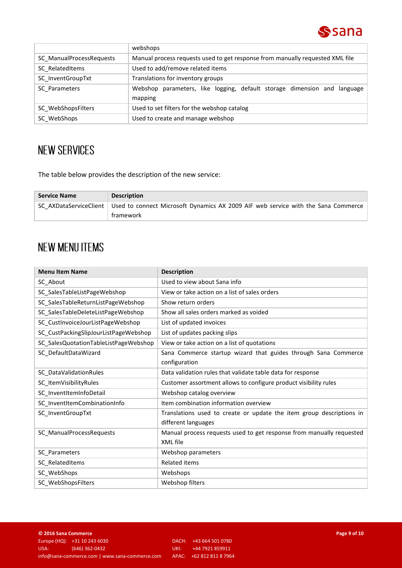

|                          | webshops                                                                            |  |
|--------------------------|-------------------------------------------------------------------------------------|--|
| SC ManualProcessRequests | Manual process requests used to get response from manually requested XML file       |  |
| SC RelatedItems          | Used to add/remove related items                                                    |  |
| SC InventGroupTxt        | Translations for inventory groups                                                   |  |
| SC Parameters            | Webshop parameters, like logging, default storage dimension and language<br>mapping |  |
| SC WebShopsFilters       | Used to set filters for the webshop catalog                                         |  |
| SC WebShops              | Used to create and manage webshop                                                   |  |

## **NEW SERVICES**

The table below provides the description of the new service:

| <b>Service Name</b> | <b>Description</b>                                                                                         |
|---------------------|------------------------------------------------------------------------------------------------------------|
|                     | SC AXDataServiceClient   Used to connect Microsoft Dynamics AX 2009 AIF web service with the Sana Commerce |
|                     | framework                                                                                                  |

## **NEW MENU ITEMS**

| <b>Menu Item Name</b>                 | <b>Description</b>                                                                          |
|---------------------------------------|---------------------------------------------------------------------------------------------|
| SC_About                              | Used to view about Sana info                                                                |
| SC_SalesTableListPageWebshop          | View or take action on a list of sales orders                                               |
| SC_SalesTableReturnListPageWebshop    | Show return orders                                                                          |
| SC SalesTableDeleteListPageWebshop    | Show all sales orders marked as voided                                                      |
| SC CustInvoiceJourListPageWebshop     | List of updated invoices                                                                    |
| SC_CustPackingSlipJourListPageWebshop | List of updates packing slips                                                               |
| SC_SalesQuotationTableListPageWebshop | View or take action on a list of quotations                                                 |
| SC_DefaultDataWizard                  | Sana Commerce startup wizard that guides through Sana Commerce<br>configuration             |
| SC_DataValidationRules                | Data validation rules that validate table data for response                                 |
| SC_ItemVisibilityRules                | Customer assortment allows to configure product visibility rules                            |
| SC_InventItemInfoDetail               | Webshop catalog overview                                                                    |
| SC_InventItemCombinationInfo          | Item combination information overview                                                       |
| SC_InventGroupTxt                     | Translations used to create or update the item group descriptions in<br>different languages |
| SC_ManualProcessRequests              | Manual process requests used to get response from manually requested<br>XML file            |
| SC_Parameters                         | Webshop parameters                                                                          |
| SC_RelatedItems                       | <b>Related items</b>                                                                        |
| SC_WebShops                           | Webshops                                                                                    |
| SC_WebShopsFilters                    | Webshop filters                                                                             |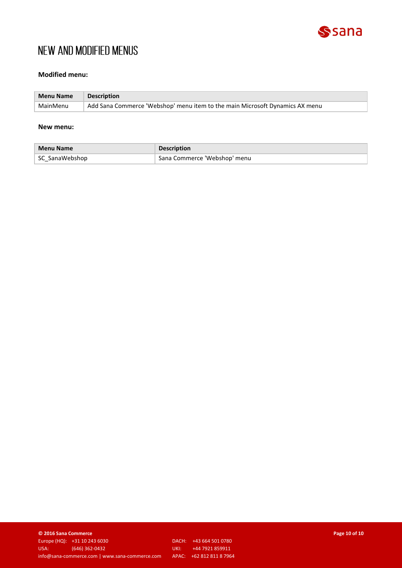

## NEW AND MODIFIED MENUS

### **Modified menu:**

| <b>Menu Name</b> | <b>Description</b>                                                           |
|------------------|------------------------------------------------------------------------------|
| MainMenu         | Add Sana Commerce 'Webshop' menu item to the main Microsoft Dynamics AX menu |

#### **New menu:**

| <b>Menu Name</b> | <b>Description</b>           |
|------------------|------------------------------|
| SC SanaWebshop   | Sana Commerce 'Webshop' menu |

**© 2016 Sana Commerce Page 10 of 10** Europe (HQ): +31 10 243 6030 DACH: +43 664 501 0780 info@sana-commerce.com | www.sana-commerce.com

UKI: +44 7921 859911<br>APAC: +62 812 811 8 7964